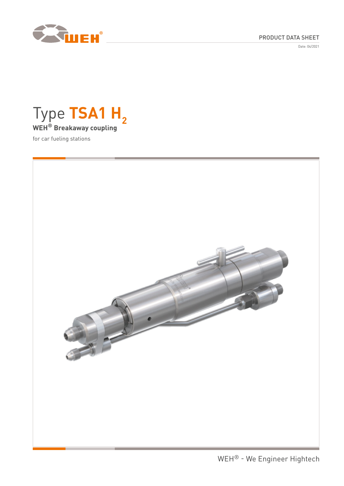

## PRODUCT DATA SHEET

Date: 04/2021



for car fueling stations

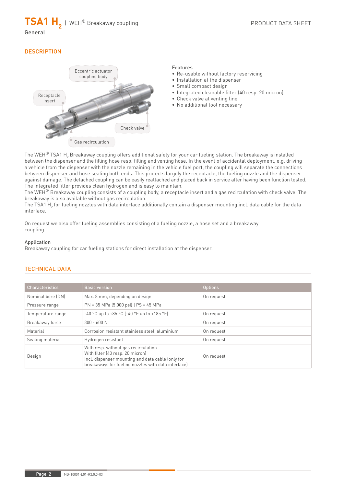$\mathsf{TSA1}\ \mathsf{H}_{\mathsf{2}}$  | WEH® Breakaway coupling

## General

## **DESCRIPTION**



## Features

- Re-usable without factory reservicing
- Installation at the dispenser
- Small compact design
- Integrated cleanable filter (40 resp. 20 micron)
- Check valve at venting line
- No additional tool necessary

The WEH $^\circ$  TSA1 H $_2$  Breakaway coupling offers additional safety for your car fueling station. The breakaway is installed between the dispenser and the filling hose resp. filling and venting hose. In the event of accidental deployment, e.g. driving a vehicle from the dispenser with the nozzle remaining in the vehicle fuel port, the coupling will separate the connections between dispenser and hose sealing both ends. This protects largely the receptacle, the fueling nozzle and the dispenser against damage. The detached coupling can be easily reattached and placed back in service after having been function tested. The integrated filter provides clean hydrogen and is easy to maintain.

The WEH<sup>®</sup> Breakaway coupling consists of a coupling body, a receptacle insert and a gas recirculation with check valve. The breakaway is also available without gas recirculation.

The TSA1 H $_{\rm 2}$  for fueling nozzles with data interface additionally contain a dispenser mounting incl. data cable for the data interface.

On request we also offer fueling assemblies consisting of a fueling nozzle, a hose set and a breakaway coupling.

#### Application

Breakaway coupling for car fueling stations for direct installation at the dispenser.

| <b>Characteristics</b> | <b>Basic version</b>                                                                                                                                                                 | <b>Options</b> |  |  |
|------------------------|--------------------------------------------------------------------------------------------------------------------------------------------------------------------------------------|----------------|--|--|
| Nominal bore (DN)      | Max. 8 mm, depending on design                                                                                                                                                       | On request     |  |  |
| Pressure range         | $PN = 35 MPa (5,000 psi)$   $PS = 45 MPa$                                                                                                                                            |                |  |  |
| Temperature range      | $-40$ °C up to $+85$ °C ( $-40$ °F up to $+185$ °F)                                                                                                                                  | On request     |  |  |
| Breakaway force        | $300 - 600 N$                                                                                                                                                                        | On request     |  |  |
| Material               | Corrosion resistant stainless steel, aluminium                                                                                                                                       | On request     |  |  |
| Sealing material       | Hydrogen resistant                                                                                                                                                                   | On request     |  |  |
| Design                 | With resp. without gas recirculation<br>With filter (40 resp. 20 micron)<br>Incl. dispenser mounting and data cable (only for<br>breakaways for fueling nozzles with data interface) | On request     |  |  |

## TECHNICAL DATA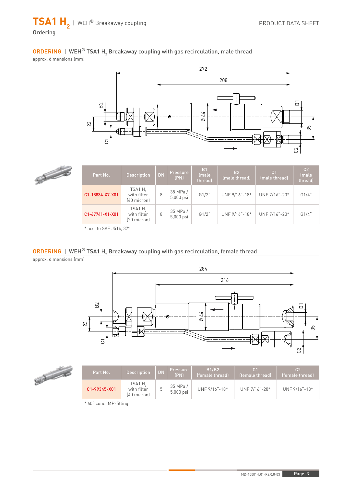

# ORDERING | WEH® TSA1 H $_{\rm 2}$  Breakaway coupling with gas recirculation, male thread

approx. dimensions (mm)





| Part No.        | <b>Description</b>                               | DN. | <b>Pressure</b><br>(PN) | B <sub>1</sub><br>(male<br>threadl | B2<br>(male thread) | C <sub>1</sub><br>(male thread) | C <sub>2</sub><br><i><u><b>Imale</b></u></i><br>thread) |
|-----------------|--------------------------------------------------|-----|-------------------------|------------------------------------|---------------------|---------------------------------|---------------------------------------------------------|
| C1-18834-X7-X01 | TSA1H <sub>2</sub><br>with filter<br>(40 micron) | 8   | 35 MPa/<br>5,000 psi    | G1/2"                              | UNF 9/16"-18*       | UNF 7/16"-20*                   | G1/4"                                                   |
| C1-67741-X1-X01 | TSA1H <sub>2</sub><br>with filter<br>[20 micron] | 8   | 35 MPa/<br>5,000 psi    | $G1/2$ "                           | UNF 9/16"-18*       | UNF 7/16"-20*                   | G1/4"                                                   |
|                 |                                                  |     |                         |                                    |                     |                                 |                                                         |

\* acc. to SAE J514, 37°

# $\mathsf{ORDERING}$  | WEH $^\circledR$  TSA1 H $_2$  Breakaway coupling with gas recirculation, female thread

approx. dimensions (mm)





| Part No.     | <b>Description</b>                   | <b>LDN</b> | <b>Pressure</b><br>(PN) | <b>B1/B2</b><br>(female thread) | C <sub>1</sub><br>(female thread) | C2<br>(female thread) |
|--------------|--------------------------------------|------------|-------------------------|---------------------------------|-----------------------------------|-----------------------|
| C1-99345-X01 | TSA1 H<br>with filter<br>(40 micron) | 5          | 35 MPa/<br>5,000 psi    | UNF 9/16"-18*                   | UNF 7/16"-20*                     | UNF 9/16"-18*         |

\* 60° cone, MP-fitting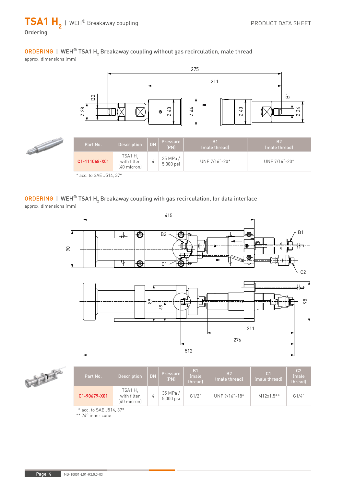# $\mathsf{TSA1}\ \mathsf{H}_{\mathsf{2}}$  | WEH® Breakaway coupling

## Ordering

# $\mathsf{ORDERING}$  | WEH $^\circledR$  TSA1 H $_2$  Breakaway coupling without gas recirculation, male thread

approx. dimensions (mm)





# ORDERING | WEH® TSA1 H $_{\rm _2}$  Breakaway coupling with gas recirculation, for data interface

approx. dimensions (mm)





| Part No.                   | <b>Description</b>                               | <b>DN</b> | Pressure<br>(PN)      | <b>B1</b><br>(male<br>threadl | <b>B2</b><br>(male thread) | C <sub>1</sub><br>(male thread) | C <sub>2</sub><br>(male<br>threadl |
|----------------------------|--------------------------------------------------|-----------|-----------------------|-------------------------------|----------------------------|---------------------------------|------------------------------------|
| C1-90679-X01               | TSA1H <sub>2</sub><br>with filter<br>[40 micron] | 4         | 35 MPa /<br>5,000 psi | $G1/2$ "                      | UNF 9/16"-18*              | $M12x1.5***$                    | G1/4"                              |
| $*$ acc to $CAE$ $ E1/279$ |                                                  |           |                       |                               |                            |                                 |                                    |

\* acc. to SAE J514, 37°

\*\* 24° inner cone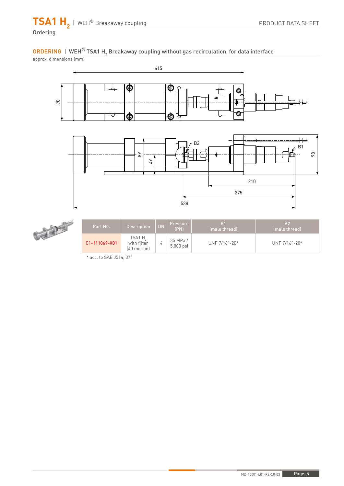# ORDERING | WEH® TSA1 H $_{\tiny 2}$  Breakaway coupling without gas recirculation, for data interface

approx. dimensions (mm)





| Part No.      | <b>Description</b>                               | DN. | <b>Pressure</b><br>(PN) | B <sub>1</sub><br>(male thread) | <b>B2</b><br>(male thread) |
|---------------|--------------------------------------------------|-----|-------------------------|---------------------------------|----------------------------|
| C1-111069-X01 | TSA1H <sub>2</sub><br>with filter<br>(40 micron) | 4   | 35 MPa/<br>5,000 psi    | UNF 7/16"-20*                   | UNF 7/16"-20*              |

\* acc. to SAE J514, 37°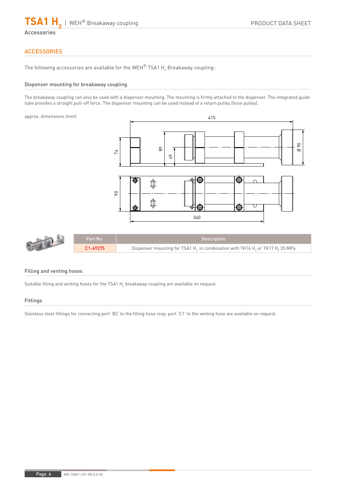

Accessories

## **ACCESSORIES**

The following accessories are available for the WEH $^\circ$  TSA1 H $_2$  Breakaway coupling:

## Dispenser mounting for breakaway coupling

The breakaway coupling can also be used with a dispenser mounting. The mounting is firmly attached to the dispenser. The integrated guide tube provides a straight pull-off force. The dispenser mounting can be used instead of a return pulley (hose pulley).

approx. dimensions (mm)



|  | Part No.     | <b>Description</b>                                                                                               |
|--|--------------|------------------------------------------------------------------------------------------------------------------|
|  | $C1 - 69275$ | Dispenser mounting for TSA1 H <sub>3</sub> in combination with TK16 H <sub>3</sub> or TK17 H <sub>3</sub> 35 MPa |

## Filling and venting hoses

Suitable filling and venting hoses for the TSA1  $\mathsf{H}_2$  breakaway coupling are available on request.

#### Fittings

Stainless steel fittings for connecting port 'B2' to the filling hose resp. port 'C1' to the venting hose are available on request.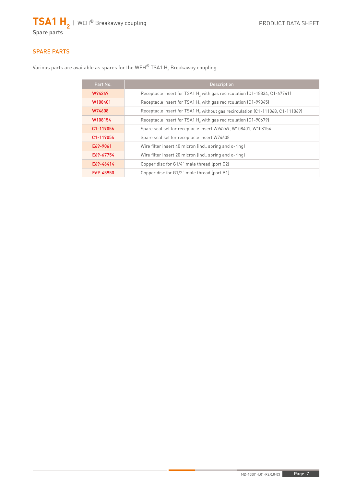

PRODUCT DATA SHEET

# SPARE PARTS

| Part No.  | <b>Description</b>                                                                         |
|-----------|--------------------------------------------------------------------------------------------|
| W94249    | Receptacle insert for TSA1 H, with gas recirculation (C1-18834, C1-67741)                  |
| W108401   | Receptacle insert for TSA1 H <sub>2</sub> with gas recirculation (C1-99345)                |
| W74608    | Receptacle insert for TSA1 H <sub>2</sub> without gas recirculation [C1-111068, C1-111069] |
| W108154   | Receptacle insert for TSA1 H <sub>2</sub> with gas recirculation (C1-90679)                |
| C1-119056 | Spare seal set for receptacle insert W94249, W108401, W108154                              |
| C1-119054 | Spare seal set for receptacle insert W74608                                                |
| E69-9061  | Wire filter insert 40 micron (incl. spring and o-ring)                                     |
| E69-67754 | Wire filter insert 20 micron (incl. spring and o-ring)                                     |
| E69-46414 | Copper disc for G1/4" male thread (port C2)                                                |
| E69-45950 | Copper disc for G1/2" male thread (port B1)                                                |

Various parts are available as spares for the WEH $^\circ$  TSA1 H $_2$  Breakaway coupling.